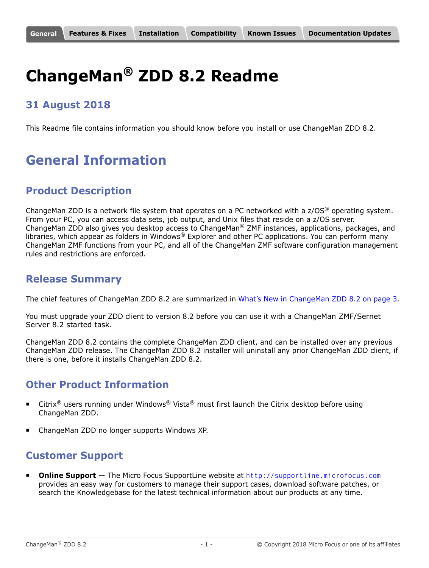# <span id="page-0-0"></span>**ChangeMan® ZDD 8.2 Readme**

## **31 August 2018**

This Readme file contains information you should know before you install or use ChangeMan ZDD 8.2.

# **General Information**

# **Product Description**

ChangeMan ZDD is a network file system that operates on a PC networked with a  $z/OS^{\circledast}$  operating system. From your PC, you can access data sets, job output, and Unix files that reside on a z/OS server. ChangeMan ZDD also gives you desktop access to ChangeMan® ZMF instances, applications, packages, and libraries, which appear as folders in Windows® Explorer and other PC applications. You can perform many ChangeMan ZMF functions from your PC, and all of the ChangeMan ZMF software configuration management rules and restrictions are enforced.

## **Release Summary**

The chief features of ChangeMan ZDD 8.2 are summarized in [What's New in ChangeMan ZDD 8.2 on page 3.](#page-2-1)

You must upgrade your ZDD client to version 8.2 before you can use it with a ChangeMan ZMF/Sernet Server 8.2 started task.

ChangeMan ZDD 8.2 contains the complete ChangeMan ZDD client, and can be installed over any previous ChangeMan ZDD release. The ChangeMan ZDD 8.2 installer will uninstall any prior ChangeMan ZDD client, if there is one, before it installs ChangeMan ZDD 8.2.

## **Other Product Information**

- **EXECT 1.5** USER THE Unity  $\mathbb{R}^{\infty}$  vista<sup>®</sup> Must first launch the Citrix desktop before using ChangeMan ZDD.
- ChangeMan ZDD no longer supports Windows XP.

# **Customer Support**

 **Online Support** — The Micro Focus SupportLine website at [http://supportline.microfocus.com](https://supportline.microfocus.com/) provides an easy way for customers to manage their support cases, download software patches, or search the Knowledgebase for the latest technical information about our products at any time.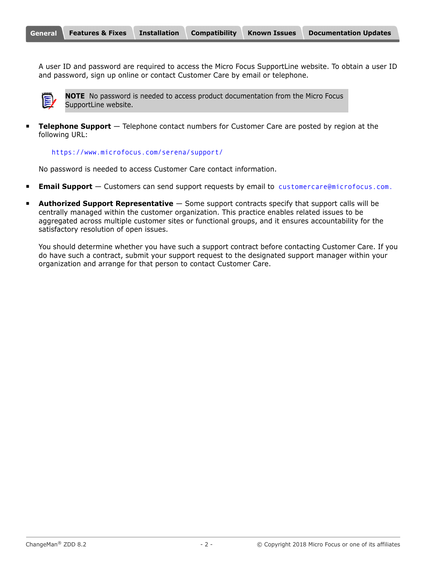A user ID and password are required to access the Micro Focus SupportLine website. To obtain a user ID and password, sign up online or contact Customer Care by email or telephone.



**NOTE** No password is needed to access product documentation from the Micro Focus SupportLine website.

**Telephone Support** — Telephone contact numbers for Customer Care are posted by region at the following URL:

#### <https://www.microfocus.com/serena/support/>

No password is needed to access Customer Care contact information.

- **Email Support** Customers can send support requests by email to [customercare@microfocus.com.](mailto:customercare@microfocus.com )
- **Authorized Support Representative** Some support contracts specify that support calls will be centrally managed within the customer organization. This practice enables related issues to be aggregated across multiple customer sites or functional groups, and it ensures accountability for the satisfactory resolution of open issues.

You should determine whether you have such a support contract before contacting Customer Care. If you do have such a contract, submit your support request to the designated support manager within your organization and arrange for that person to contact Customer Care.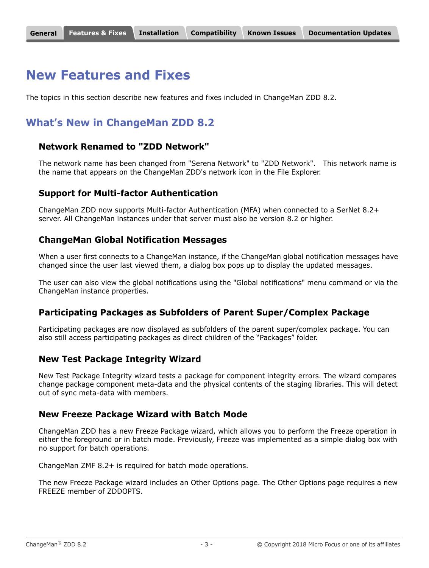#### <span id="page-2-0"></span>**[General](#page-0-0) Features & Fixes [Installation](#page-5-0) [Compatibility](#page-8-0) [Known Issues](#page-9-0) [Documentation Updates](#page-10-0)**

# **New Features and Fixes**

The topics in this section describe new features and fixes included in ChangeMan ZDD 8.2.

# <span id="page-2-1"></span>**What's New in ChangeMan ZDD 8.2**

### **Network Renamed to "ZDD Network"**

The network name has been changed from "Serena Network" to "ZDD Network". This network name is the name that appears on the ChangeMan ZDD's network icon in the File Explorer.

#### **Support for Multi-factor Authentication**

ChangeMan ZDD now supports Multi-factor Authentication (MFA) when connected to a SerNet 8.2+ server. All ChangeMan instances under that server must also be version 8.2 or higher.

### **ChangeMan Global Notification Messages**

When a user first connects to a ChangeMan instance, if the ChangeMan global notification messages have changed since the user last viewed them, a dialog box pops up to display the updated messages.

The user can also view the global notifications using the "Global notifications" menu command or via the ChangeMan instance properties.

### **Participating Packages as Subfolders of Parent Super/Complex Package**

Participating packages are now displayed as subfolders of the parent super/complex package. You can also still access participating packages as direct children of the "Packages" folder.

#### **New Test Package Integrity Wizard**

New Test Package Integrity wizard tests a package for component integrity errors. The wizard compares change package component meta-data and the physical contents of the staging libraries. This will detect out of sync meta-data with members.

#### **New Freeze Package Wizard with Batch Mode**

ChangeMan ZDD has a new Freeze Package wizard, which allows you to perform the Freeze operation in either the foreground or in batch mode. Previously, Freeze was implemented as a simple dialog box with no support for batch operations.

ChangeMan ZMF 8.2+ is required for batch mode operations.

The new Freeze Package wizard includes an Other Options page. The Other Options page requires a new FREEZE member of ZDDOPTS.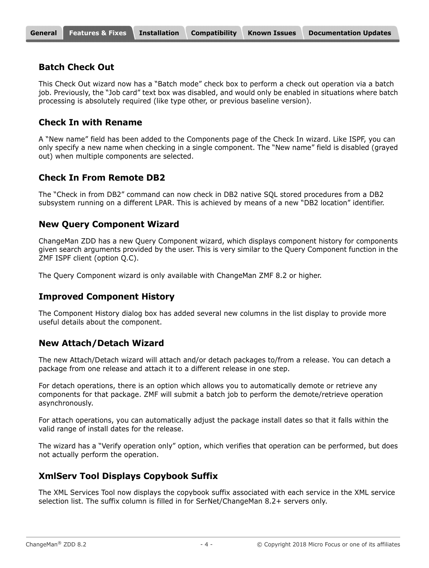#### **Batch Check Out**

This Check Out wizard now has a "Batch mode" check box to perform a check out operation via a batch job. Previously, the "Job card" text box was disabled, and would only be enabled in situations where batch processing is absolutely required (like type other, or previous baseline version).

#### **Check In with Rename**

A "New name" field has been added to the Components page of the Check In wizard. Like ISPF, you can only specify a new name when checking in a single component. The "New name" field is disabled (grayed out) when multiple components are selected.

#### **Check In From Remote DB2**

The "Check in from DB2" command can now check in DB2 native SQL stored procedures from a DB2 subsystem running on a different LPAR. This is achieved by means of a new "DB2 location" identifier.

#### **New Query Component Wizard**

ChangeMan ZDD has a new Query Component wizard, which displays component history for components given search arguments provided by the user. This is very similar to the Query Component function in the ZMF ISPF client (option Q.C).

The Query Component wizard is only available with ChangeMan ZMF 8.2 or higher.

#### **Improved Component History**

The Component History dialog box has added several new columns in the list display to provide more useful details about the component.

#### **New Attach/Detach Wizard**

The new Attach/Detach wizard will attach and/or detach packages to/from a release. You can detach a package from one release and attach it to a different release in one step.

For detach operations, there is an option which allows you to automatically demote or retrieve any components for that package. ZMF will submit a batch job to perform the demote/retrieve operation asynchronously.

For attach operations, you can automatically adjust the package install dates so that it falls within the valid range of install dates for the release.

The wizard has a "Verify operation only" option, which verifies that operation can be performed, but does not actually perform the operation.

### **XmlServ Tool Displays Copybook Suffix**

The XML Services Tool now displays the copybook suffix associated with each service in the XML service selection list. The suffix column is filled in for SerNet/ChangeMan 8.2+ servers only.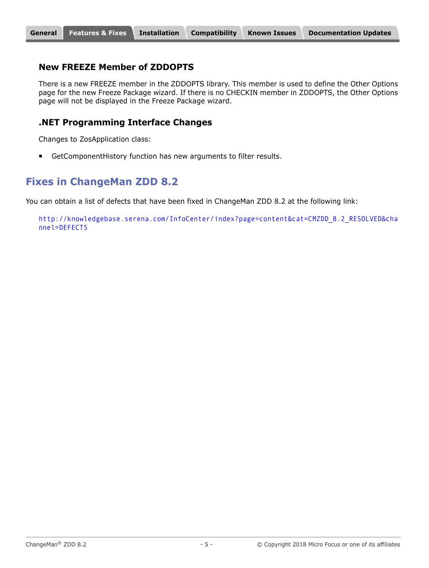#### **[General](#page-0-0) [Features & Fixes](#page-2-0) [Installation](#page-5-0) [Compatibility](#page-8-0) [Known Issues](#page-9-0) [Documentation Updates](#page-10-0)**

#### **New FREEZE Member of ZDDOPTS**

There is a new FREEZE member in the ZDDOPTS library. This member is used to define the Other Options page for the new Freeze Package wizard. If there is no CHECKIN member in ZDDOPTS, the Other Options page will not be displayed in the Freeze Package wizard.

#### **.NET Programming Interface Changes**

Changes to ZosApplication class:

GetComponentHistory function has new arguments to filter results.

## **Fixes in ChangeMan ZDD 8.2**

You can obtain a list of defects that have been fixed in ChangeMan ZDD 8.2 at the following link:

[http://knowledgebase.serena.com/InfoCenter/index?page=content&cat=CMZDD\\_8.2\\_RESOLVED&cha](http://knowledgebase.serena.com/InfoCenter/index?page=content&cat=CMZDD_8.2_RESOLVED&channel=DEFECTS) nnel=DEFECTS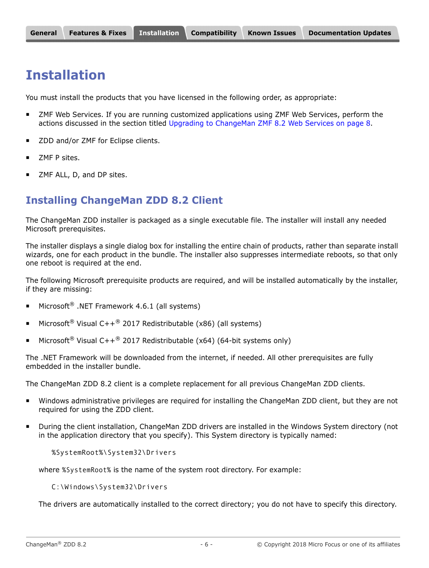# <span id="page-5-0"></span>**Installation**

You must install the products that you have licensed in the following order, as appropriate:

- ZMF Web Services. If you are running customized applications using ZMF Web Services, perform the actions discussed in the section titled [Upgrading to ChangeMan ZMF 8.2 Web Services on page 8](#page-7-0).
- ZDD and/or ZMF for Eclipse clients.
- ZMF P sites.
- ZMF ALL, D, and DP sites.

## **Installing ChangeMan ZDD 8.2 Client**

The ChangeMan ZDD installer is packaged as a single executable file. The installer will install any needed Microsoft prerequisites.

The installer displays a single dialog box for installing the entire chain of products, rather than separate install wizards, one for each product in the bundle. The installer also suppresses intermediate reboots, so that only one reboot is required at the end.

The following Microsoft prerequisite products are required, and will be installed automatically by the installer, if they are missing:

- Microsoft<sup>®</sup> .NET Framework 4.6.1 (all systems)
- Microsoft<sup>®</sup> Visual C++<sup>®</sup> 2017 Redistributable (x86) (all systems)
- Microsoft<sup>®</sup> Visual C++<sup>®</sup> 2017 Redistributable (x64) (64-bit systems only)

The .NET Framework will be downloaded from the internet, if needed. All other prerequisites are fully embedded in the installer bundle.

The ChangeMan ZDD 8.2 client is a complete replacement for all previous ChangeMan ZDD clients.

- Windows administrative privileges are required for installing the ChangeMan ZDD client, but they are not required for using the ZDD client.
- During the client installation, ChangeMan ZDD drivers are installed in the Windows System directory (not in the application directory that you specify). This System directory is typically named:

%SystemRoot%\System32\Drivers

where %SystemRoot% is the name of the system root directory. For example:

C:\Windows\System32\Drivers

The drivers are automatically installed to the correct directory; you do not have to specify this directory.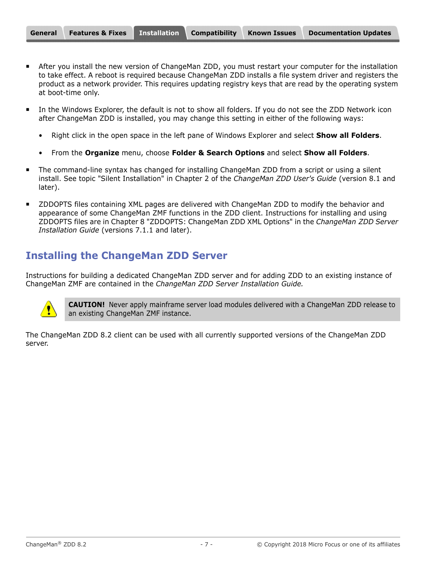- After you install the new version of ChangeMan ZDD, you must restart your computer for the installation to take effect. A reboot is required because ChangeMan ZDD installs a file system driver and registers the product as a network provider. This requires updating registry keys that are read by the operating system at boot-time only.
- In the Windows Explorer, the default is not to show all folders. If you do not see the ZDD Network icon after ChangeMan ZDD is installed, you may change this setting in either of the following ways:
	- Right click in the open space in the left pane of Windows Explorer and select **Show all Folders**.
	- From the **Organize** menu, choose **Folder & Search Options** and select **Show all Folders**.
- The command-line syntax has changed for installing ChangeMan ZDD from a script or using a silent install. See topic "Silent Installation" in Chapter 2 of the *ChangeMan ZDD User's Guide* (version 8.1 and later).
- ZDDOPTS files containing XML pages are delivered with ChangeMan ZDD to modify the behavior and appearance of some ChangeMan ZMF functions in the ZDD client. Instructions for installing and using ZDDOPTS files are in Chapter 8 "ZDDOPTS: ChangeMan ZDD XML Options" in the *ChangeMan ZDD Server Installation Guide* (versions 7.1.1 and later).

## **Installing the ChangeMan ZDD Server**

Instructions for building a dedicated ChangeMan ZDD server and for adding ZDD to an existing instance of ChangeMan ZMF are contained in the *ChangeMan ZDD Server Installation Guide.*



**CAUTION!** Never apply mainframe server load modules delivered with a ChangeMan ZDD release to an existing ChangeMan ZMF instance.

The ChangeMan ZDD 8.2 client can be used with all currently supported versions of the ChangeMan ZDD server.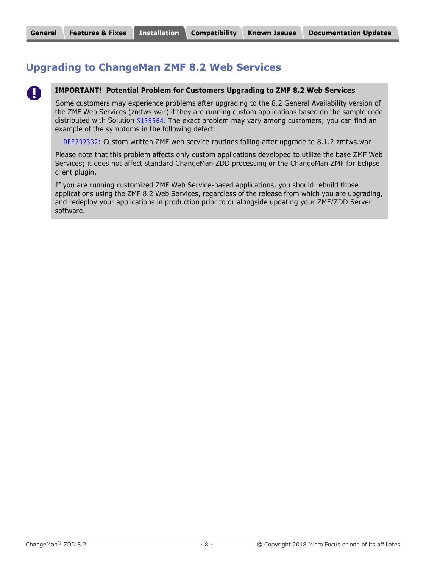# <span id="page-7-0"></span>**Upgrading to ChangeMan ZMF 8.2 Web Services**



#### **IMPORTANT! Potential Problem for Customers Upgrading to ZMF 8.2 Web Services**

Some customers may experience problems after upgrading to the 8.2 General Availability version of the ZMF Web Services (zmfws.war) if they are running custom applications based on the sample code distributed with Solution [S139564](http://knowledgebase.serena.com/InfoCenter/index?page=content&id=S139564). The exact problem may vary among customers; you can find an example of the symptoms in the following defect:

 [DEF292332](http://knowledgebase.serena.com/InfoCenter/index?page=content&id=D23654): Custom written ZMF web service routines failing after upgrade to 8.1.2 zmfws.war

Please note that this problem affects only custom applications developed to utilize the base ZMF Web Services; it does not affect standard ChangeMan ZDD processing or the ChangeMan ZMF for Eclipse client plugin.

If you are running customized ZMF Web Service-based applications, you should rebuild those applications using the ZMF 8.2 Web Services, regardless of the release from which you are upgrading, and redeploy your applications in production prior to or alongside updating your ZMF/ZDD Server software.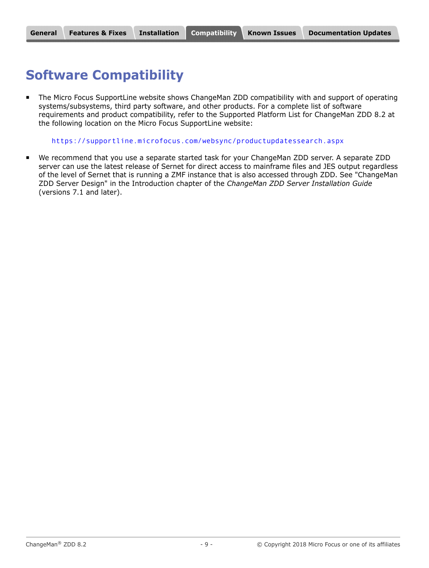# <span id="page-8-0"></span>**Software Compatibility**

**The Micro Focus SupportLine website shows ChangeMan ZDD compatibility with and support of operating** systems/subsystems, third party software, and other products. For a complete list of software requirements and product compatibility, refer to the Supported Platform List for ChangeMan ZDD 8.2 at the following location on the Micro Focus SupportLine website:

<https://supportline.microfocus.com/websync/productupdatessearch.aspx>

 We recommend that you use a separate started task for your ChangeMan ZDD server. A separate ZDD server can use the latest release of Sernet for direct access to mainframe files and JES output regardless of the level of Sernet that is running a ZMF instance that is also accessed through ZDD. See "ChangeMan ZDD Server Design" in the Introduction chapter of the *ChangeMan ZDD Server Installation Guide* (versions 7.1 and later).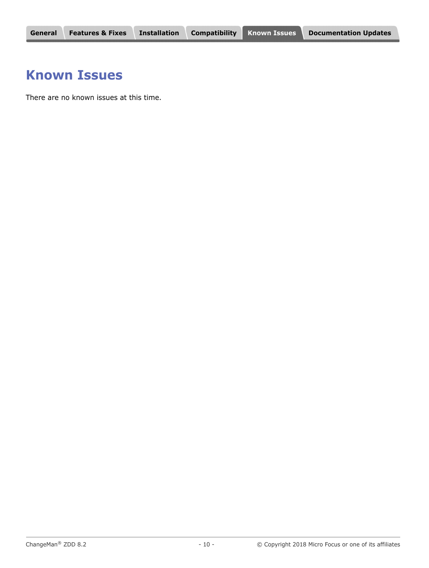# <span id="page-9-0"></span>**Known Issues**

There are no known issues at this time.